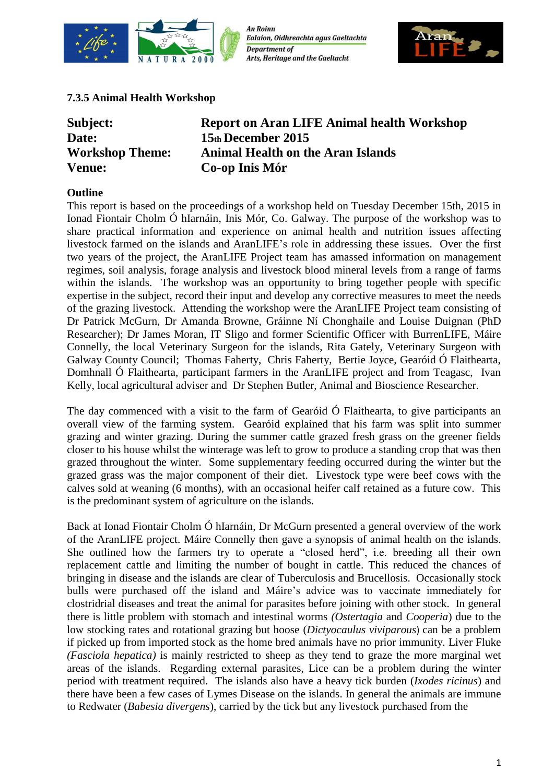

**An Roinn** Ealaíon, Oidhreachta agus Gaeltachta **Department of Arts, Heritage and the Gaeltacht** 



# **7.3.5 Animal Health Workshop**

| Subject:               | <b>Report on Aran LIFE Animal health Workshop</b> |
|------------------------|---------------------------------------------------|
| Date:                  | 15th December 2015                                |
| <b>Workshop Theme:</b> | <b>Animal Health on the Aran Islands</b>          |
| <b>Venue:</b>          | Co-op Inis Mór                                    |

# **Outline**

This report is based on the proceedings of a workshop held on Tuesday December 15th, 2015 in Ionad Fiontair Cholm Ó hIarnáin, Inis Mór, Co. Galway. The purpose of the workshop was to share practical information and experience on animal health and nutrition issues affecting livestock farmed on the islands and AranLIFE's role in addressing these issues. Over the first two years of the project, the AranLIFE Project team has amassed information on management regimes, soil analysis, forage analysis and livestock blood mineral levels from a range of farms within the islands. The workshop was an opportunity to bring together people with specific expertise in the subject, record their input and develop any corrective measures to meet the needs of the grazing livestock. Attending the workshop were the AranLIFE Project team consisting of Dr Patrick McGurn, Dr Amanda Browne, Gráinne Ní Chonghaile and Louise Duignan (PhD Researcher); Dr James Moran, IT Sligo and former Scientific Officer with BurrenLIFE, Máire Connelly, the local Veterinary Surgeon for the islands, Rita Gately, Veterinary Surgeon with Galway County Council; Thomas Faherty, Chris Faherty, Bertie Joyce, Gearóid Ó Flaithearta, Domhnall Ó Flaithearta, participant farmers in the AranLIFE project and from Teagasc, Ivan Kelly, local agricultural adviser and Dr Stephen Butler, Animal and Bioscience Researcher.

The day commenced with a visit to the farm of Gearóid Ó Flaithearta, to give participants an overall view of the farming system. Gearóid explained that his farm was split into summer grazing and winter grazing. During the summer cattle grazed fresh grass on the greener fields closer to his house whilst the winterage was left to grow to produce a standing crop that was then grazed throughout the winter. Some supplementary feeding occurred during the winter but the grazed grass was the major component of their diet. Livestock type were beef cows with the calves sold at weaning (6 months), with an occasional heifer calf retained as a future cow. This is the predominant system of agriculture on the islands.

Back at Ionad Fiontair Cholm Ó hIarnáin, Dr McGurn presented a general overview of the work of the AranLIFE project. Máire Connelly then gave a synopsis of animal health on the islands. She outlined how the farmers try to operate a "closed herd", i.e. breeding all their own replacement cattle and limiting the number of bought in cattle. This reduced the chances of bringing in disease and the islands are clear of Tuberculosis and Brucellosis. Occasionally stock bulls were purchased off the island and Máire's advice was to vaccinate immediately for clostridrial diseases and treat the animal for parasites before joining with other stock. In general there is little problem with stomach and intestinal worms *(Ostertagia* and *Cooperia*) due to the low stocking rates and rotational grazing but hoose (*Dictyocaulus viviparous*) can be a problem if picked up from imported stock as the home bred animals have no prior immunity. Liver Fluke *(Fasciola hepatica)* is mainly restricted to sheep as they tend to graze the more marginal wet areas of the islands. Regarding external parasites, Lice can be a problem during the winter period with treatment required. The islands also have a heavy tick burden (*Ixodes ricinus*) and there have been a few cases of Lymes Disease on the islands. In general the animals are immune to Redwater (*Babesia divergens*), carried by the tick but any livestock purchased from the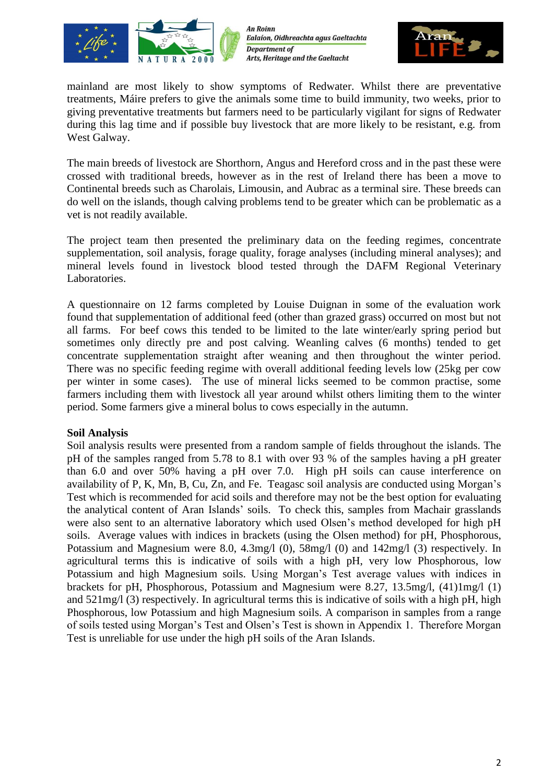

**An Roinn** Ealaíon, Oidhreachta agus Gaeltachta **Department of** Arts, Heritage and the Gaeltacht



mainland are most likely to show symptoms of Redwater. Whilst there are preventative treatments, Máire prefers to give the animals some time to build immunity, two weeks, prior to giving preventative treatments but farmers need to be particularly vigilant for signs of Redwater during this lag time and if possible buy livestock that are more likely to be resistant, e.g. from West Galway.

The main breeds of livestock are Shorthorn, Angus and Hereford cross and in the past these were crossed with traditional breeds, however as in the rest of Ireland there has been a move to Continental breeds such as Charolais, Limousin, and Aubrac as a terminal sire. These breeds can do well on the islands, though calving problems tend to be greater which can be problematic as a vet is not readily available.

The project team then presented the preliminary data on the feeding regimes, concentrate supplementation, soil analysis, forage quality, forage analyses (including mineral analyses); and mineral levels found in livestock blood tested through the DAFM Regional Veterinary Laboratories.

A questionnaire on 12 farms completed by Louise Duignan in some of the evaluation work found that supplementation of additional feed (other than grazed grass) occurred on most but not all farms. For beef cows this tended to be limited to the late winter/early spring period but sometimes only directly pre and post calving. Weanling calves (6 months) tended to get concentrate supplementation straight after weaning and then throughout the winter period. There was no specific feeding regime with overall additional feeding levels low (25kg per cow per winter in some cases). The use of mineral licks seemed to be common practise, some farmers including them with livestock all year around whilst others limiting them to the winter period. Some farmers give a mineral bolus to cows especially in the autumn.

# **Soil Analysis**

Soil analysis results were presented from a random sample of fields throughout the islands. The pH of the samples ranged from 5.78 to 8.1 with over 93 % of the samples having a pH greater than 6.0 and over 50% having a pH over 7.0. High pH soils can cause interference on availability of P, K, Mn, B, Cu, Zn, and Fe. Teagasc soil analysis are conducted using Morgan's Test which is recommended for acid soils and therefore may not be the best option for evaluating the analytical content of Aran Islands' soils. To check this, samples from Machair grasslands were also sent to an alternative laboratory which used Olsen's method developed for high pH soils. Average values with indices in brackets (using the Olsen method) for pH, Phosphorous, Potassium and Magnesium were 8.0, 4.3mg/l (0), 58mg/l (0) and 142mg/l (3) respectively. In agricultural terms this is indicative of soils with a high pH, very low Phosphorous, low Potassium and high Magnesium soils. Using Morgan's Test average values with indices in brackets for pH, Phosphorous, Potassium and Magnesium were 8.27, 13.5mg/l, (41)1mg/l (1) and 521mg/l (3) respectively. In agricultural terms this is indicative of soils with a high pH, high Phosphorous, low Potassium and high Magnesium soils. A comparison in samples from a range of soils tested using Morgan's Test and Olsen's Test is shown in Appendix 1. Therefore Morgan Test is unreliable for use under the high pH soils of the Aran Islands.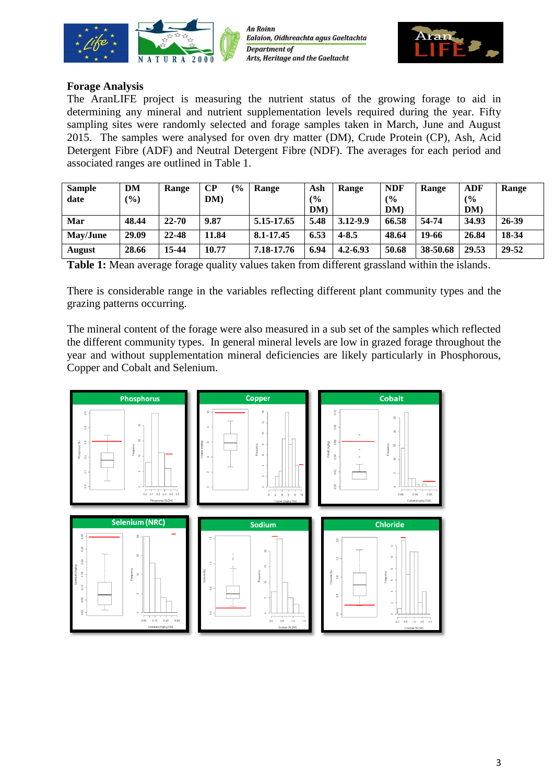





## **Forage Analysis**

The AranLIFE project is measuring the nutrient status of the growing forage to aid in determining any mineral and nutrient supplementation levels required during the year. Fifty sampling sites were randomly selected and forage samples taken in March, June and August 2015. The samples were analysed for oven dry matter (DM), Crude Protein (CP), Ash, Acid Detergent Fibre (ADF) and Neutral Detergent Fibre (NDF). The averages for each period and associated ranges are outlined in Table 1.

| <b>Sample</b> | DM    | Range     | $\bf CP$<br>$\frac{6}{6}$ | Range      | Ash  | Range        | <b>NDF</b> | Range    | <b>ADF</b> | Range |
|---------------|-------|-----------|---------------------------|------------|------|--------------|------------|----------|------------|-------|
| date          | (%)   |           | DM                        |            | (%   |              | (9/0)      |          | (%         |       |
|               |       |           |                           |            | DM)  |              | DM)        |          | DM)        |       |
| Mar           | 48.44 | $22 - 70$ | 9.87                      | 5.15-17.65 | 5.48 | 3.12-9.9     | 66.58      | 54-74    | 34.93      | 26-39 |
| May/June      | 29.09 | 22-48     | 11.84                     | 8.1-17.45  | 6.53 | $4 - 8.5$    | 48.64      | 19-66    | 26.84      | 18-34 |
| <b>August</b> | 28.66 | 15-44     | 10.77                     | 7.18-17.76 | 6.94 | $4.2 - 6.93$ | 50.68      | 38-50.68 | 29.53      | 29-52 |

**Table 1:** Mean average forage quality values taken from different grassland within the islands.

There is considerable range in the variables reflecting different plant community types and the grazing patterns occurring.

The mineral content of the forage were also measured in a sub set of the samples which reflected the different community types. In general mineral levels are low in grazed forage throughout the year and without supplementation mineral deficiencies are likely particularly in Phosphorous, Copper and Cobalt and Selenium.

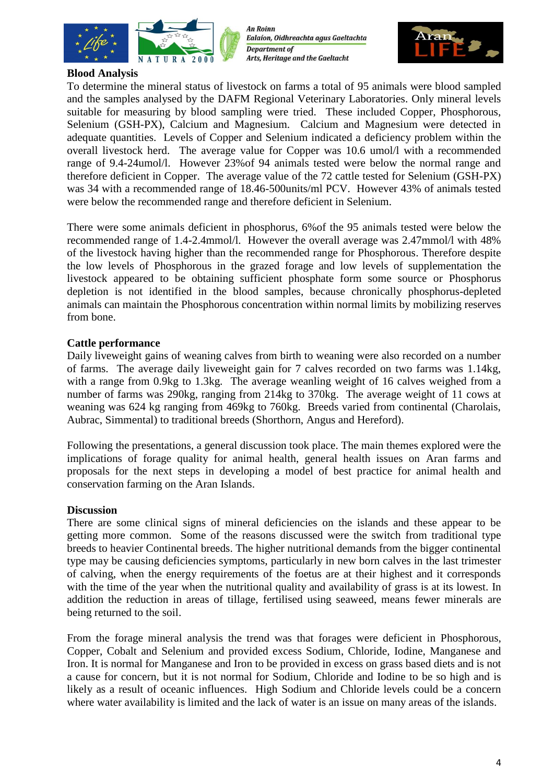

**An Roinn** Ealaíon, Oidhreachta agus Gaeltachta **Department of** Arts, Heritage and the Gaeltacht



### **Blood Analysis**

To determine the mineral status of livestock on farms a total of 95 animals were blood sampled and the samples analysed by the DAFM Regional Veterinary Laboratories. Only mineral levels suitable for measuring by blood sampling were tried. These included Copper, Phosphorous, Selenium (GSH-PX), Calcium and Magnesium. Calcium and Magnesium were detected in adequate quantities. Levels of Copper and Selenium indicated a deficiency problem within the overall livestock herd. The average value for Copper was 10.6 umol/l with a recommended range of 9.4-24umol/l. However 23%of 94 animals tested were below the normal range and therefore deficient in Copper. The average value of the 72 cattle tested for Selenium (GSH-PX) was 34 with a recommended range of 18.46-500units/ml PCV. However 43% of animals tested were below the recommended range and therefore deficient in Selenium.

There were some animals deficient in phosphorus, 6%of the 95 animals tested were below the recommended range of 1.4-2.4mmol/l. However the overall average was 2.47mmol/l with 48% of the livestock having higher than the recommended range for Phosphorous. Therefore despite the low levels of Phosphorous in the grazed forage and low levels of supplementation the livestock appeared to be obtaining sufficient phosphate form some source or Phosphorus depletion is not identified in the blood samples, because chronically phosphorus-depleted animals can maintain the Phosphorous concentration within normal limits by mobilizing reserves from bone.

## **Cattle performance**

Daily liveweight gains of weaning calves from birth to weaning were also recorded on a number of farms. The average daily liveweight gain for 7 calves recorded on two farms was 1.14kg, with a range from 0.9kg to 1.3kg. The average weanling weight of 16 calves weighed from a number of farms was 290kg, ranging from 214kg to 370kg. The average weight of 11 cows at weaning was 624 kg ranging from 469kg to 760kg. Breeds varied from continental (Charolais, Aubrac, Simmental) to traditional breeds (Shorthorn, Angus and Hereford).

Following the presentations, a general discussion took place. The main themes explored were the implications of forage quality for animal health, general health issues on Aran farms and proposals for the next steps in developing a model of best practice for animal health and conservation farming on the Aran Islands.

#### **Discussion**

There are some clinical signs of mineral deficiencies on the islands and these appear to be getting more common. Some of the reasons discussed were the switch from traditional type breeds to heavier Continental breeds. The higher nutritional demands from the bigger continental type may be causing deficiencies symptoms, particularly in new born calves in the last trimester of calving, when the energy requirements of the foetus are at their highest and it corresponds with the time of the year when the nutritional quality and availability of grass is at its lowest. In addition the reduction in areas of tillage, fertilised using seaweed, means fewer minerals are being returned to the soil.

From the forage mineral analysis the trend was that forages were deficient in Phosphorous, Copper, Cobalt and Selenium and provided excess Sodium, Chloride, Iodine, Manganese and Iron. It is normal for Manganese and Iron to be provided in excess on grass based diets and is not a cause for concern, but it is not normal for Sodium, Chloride and Iodine to be so high and is likely as a result of oceanic influences. High Sodium and Chloride levels could be a concern where water availability is limited and the lack of water is an issue on many areas of the islands.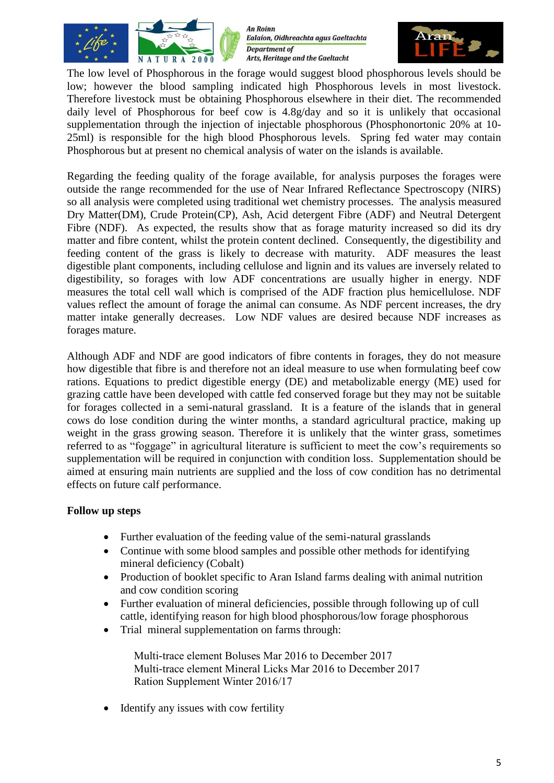

An Roinn Ealaíon, Oidhreachta agus Gaeltachta **Department of** Arts, Heritage and the Gaeltacht



The low level of Phosphorous in the forage would suggest blood phosphorous levels should be low; however the blood sampling indicated high Phosphorous levels in most livestock. Therefore livestock must be obtaining Phosphorous elsewhere in their diet. The recommended daily level of Phosphorous for beef cow is  $4.8g/day$  and so it is unlikely that occasional supplementation through the injection of injectable phosphorous (Phosphonortonic 20% at 10- 25ml) is responsible for the high blood Phosphorous levels. Spring fed water may contain Phosphorous but at present no chemical analysis of water on the islands is available.

Regarding the feeding quality of the forage available, for analysis purposes the forages were outside the range recommended for the use of Near Infrared Reflectance Spectroscopy (NIRS) so all analysis were completed using traditional wet chemistry processes. The analysis measured Dry Matter(DM), Crude Protein(CP), Ash, Acid detergent Fibre (ADF) and Neutral Detergent Fibre (NDF). As expected, the results show that as forage maturity increased so did its dry matter and fibre content, whilst the protein content declined. Consequently, the digestibility and feeding content of the grass is likely to decrease with maturity. ADF measures the least digestible plant components, including cellulose and lignin and its values are inversely related to digestibility, so forages with low ADF concentrations are usually higher in energy. NDF measures the total cell wall which is comprised of the ADF fraction plus hemicellulose. NDF values reflect the amount of forage the animal can consume. As NDF percent increases, the dry matter intake generally decreases. Low NDF values are desired because NDF increases as forages mature.

Although ADF and NDF are good indicators of fibre contents in forages, they do not measure how digestible that fibre is and therefore not an ideal measure to use when formulating beef cow rations. Equations to predict digestible energy (DE) and metabolizable energy (ME) used for grazing cattle have been developed with cattle fed conserved forage but they may not be suitable for forages collected in a semi-natural grassland. It is a feature of the islands that in general cows do lose condition during the winter months, a standard agricultural practice, making up weight in the grass growing season. Therefore it is unlikely that the winter grass, sometimes referred to as "foggage" in agricultural literature is sufficient to meet the cow's requirements so supplementation will be required in conjunction with condition loss. Supplementation should be aimed at ensuring main nutrients are supplied and the loss of cow condition has no detrimental effects on future calf performance.

# **Follow up steps**

- Further evaluation of the feeding value of the semi-natural grasslands
- Continue with some blood samples and possible other methods for identifying mineral deficiency (Cobalt)
- Production of booklet specific to Aran Island farms dealing with animal nutrition and cow condition scoring
- Further evaluation of mineral deficiencies, possible through following up of cull cattle, identifying reason for high blood phosphorous/low forage phosphorous
- Trial mineral supplementation on farms through:

Multi-trace element Boluses Mar 2016 to December 2017 Multi-trace element Mineral Licks Mar 2016 to December 2017 Ration Supplement Winter 2016/17

• Identify any issues with cow fertility